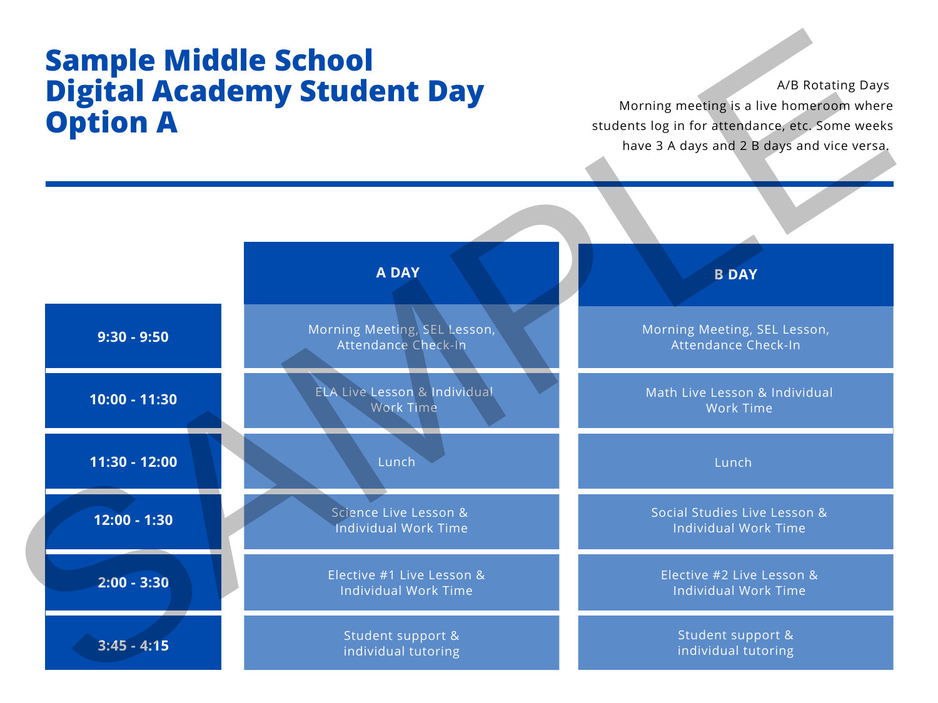## **Sample Middle School Digital Academy Student Day Option A**

| <b>Option A</b> | <b>Sample Middle School<br/>Digital Academy Student Day</b> | A/B Rotating Days<br>Morning meeting is a live homeroom where<br>students log in for attendance, etc. Some weeks<br>have 3 A days and 2 B days and vice versa. |  |
|-----------------|-------------------------------------------------------------|----------------------------------------------------------------------------------------------------------------------------------------------------------------|--|
|                 | <b>A DAY</b>                                                | <b>B DAY</b>                                                                                                                                                   |  |
| $9:30 - 9:50$   | Morning Meeting, SEL Lesson,<br>Attendance Check-In         | Morning Meeting, SEL Lesson,<br>Attendance Check-In                                                                                                            |  |
| 10:00 - 11:30   | ELA Live Lesson & Individual<br><b>Work Time</b>            | Math Live Lesson & Individual<br><b>Work Time</b>                                                                                                              |  |
| $11:30 - 12:00$ | Lunch                                                       | Lunch                                                                                                                                                          |  |
| $12:00 - 1:30$  | Science Live Lesson &<br><b>Individual Work Time</b>        | Social Studies Live Lesson &<br><b>Individual Work Time</b>                                                                                                    |  |
| $2:00 - 3:30$   | Elective #1 Live Lesson &<br><b>Individual Work Time</b>    | Elective #2 Live Lesson &<br><b>Individual Work Time</b>                                                                                                       |  |
| $3:45 - 4:15$   | Student support &<br>individual tutoring                    | Student support &<br>individual tutoring                                                                                                                       |  |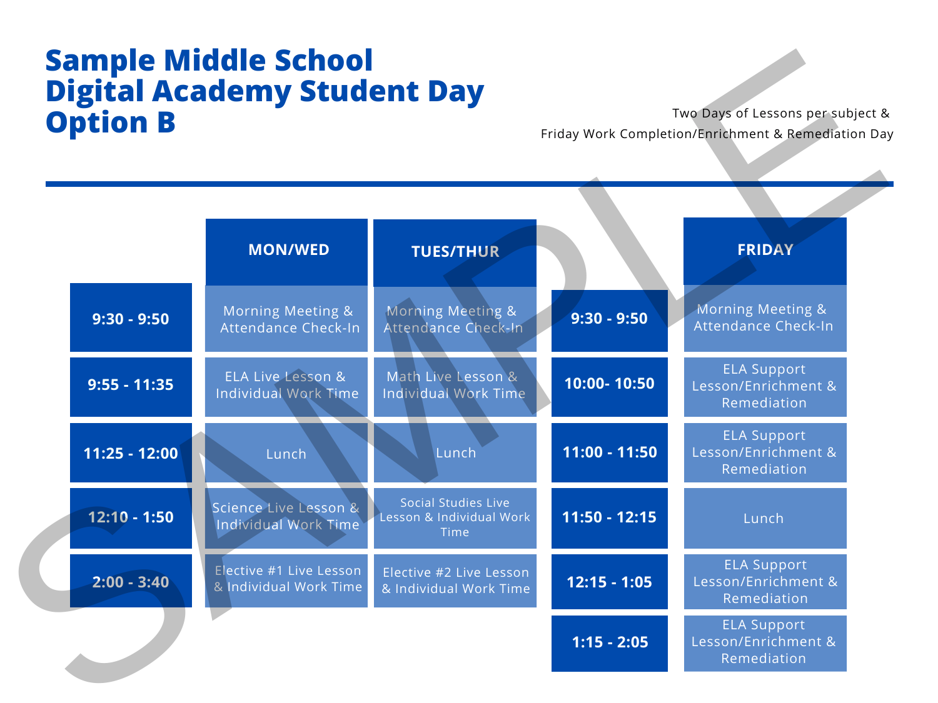## **Sample Middle School Digital Academy Student Day** Two Days of Lessons per subject &<br>Friday Work Completion/Enrichment & Remediation Day

| <b>Sample Middle School</b><br><b>Digital Academy Student Day</b><br><b>Option B</b> |                 |                                                      |                                                                | Two Days of Lessons per subject &<br>Friday Work Completion/Enrichment & Remediation Day |                                                          |  |
|--------------------------------------------------------------------------------------|-----------------|------------------------------------------------------|----------------------------------------------------------------|------------------------------------------------------------------------------------------|----------------------------------------------------------|--|
|                                                                                      |                 | <b>MON/WED</b>                                       | <b>TUES/THUR</b>                                               |                                                                                          | <b>FRIDAY</b>                                            |  |
|                                                                                      | $9:30 - 9:50$   | Morning Meeting &<br>Attendance Check-In             | Morning Meeting &<br>Attendance Check-In                       | $9:30 - 9:50$                                                                            | Morning Meeting &<br>Attendance Check-In                 |  |
|                                                                                      | $9:55 - 11:35$  | ELA Live Lesson &<br><b>Individual Work Time</b>     | Math Live Lesson &<br><b>Individual Work Time</b>              | 10:00-10:50                                                                              | <b>ELA Support</b><br>Lesson/Enrichment &<br>Remediation |  |
|                                                                                      | $11:25 - 12:00$ | Lunch                                                | Lunch                                                          | $11:00 - 11:50$                                                                          | <b>ELA Support</b><br>Lesson/Enrichment &<br>Remediation |  |
|                                                                                      | $12:10 - 1:50$  | Science Live Lesson &<br><b>Individual Work Time</b> | <b>Social Studies Live</b><br>Lesson & Individual Work<br>Time | $11:50 - 12:15$                                                                          | Lunch                                                    |  |
|                                                                                      | $2:00 - 3:40$   | Elective #1 Live Lesson<br>& Individual Work Time    | Elective #2 Live Lesson<br>& Individual Work Time              | $12:15 - 1:05$                                                                           | <b>ELA Support</b><br>Lesson/Enrichment &<br>Remediation |  |
|                                                                                      |                 |                                                      |                                                                | $1:15 - 2:05$                                                                            | <b>ELA Support</b><br>Lesson/Enrichment &<br>Remediation |  |